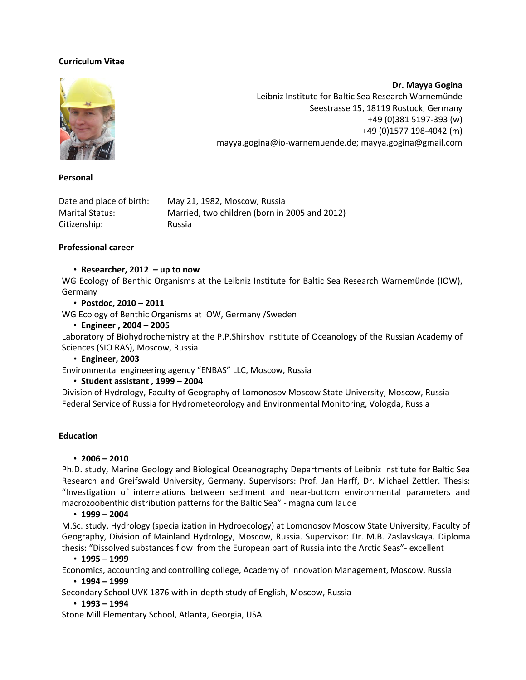# **Curriculum Vitae**



**Personal**

**Dr. Mayya Gogina** Leibniz Institute for Baltic Sea Research Warnemünde Seestrasse 15, 18119 Rostock, Germany +49 (0)381 5197-393 (w) +49 (0)1577 198-4042 (m) mayya.gogina@io-warnemuende.de; mayya.gogina@gmail.com

| Date and place of birth: | May 21, 1982, Moscow, Russia                  |
|--------------------------|-----------------------------------------------|
| Marital Status:          | Married, two children (born in 2005 and 2012) |
| Citizenship:             | Russia                                        |

### **Professional career**

### • **Researcher, 2012 – up to now**

WG [Ecology of Benthic Organisms](http://www.io-warnemuende.de/bio-ag-benthic-organisms.html) at the Leibniz Institute for Baltic Sea Research Warnemünde (IOW), Germany

### • **Postdoc, 2010 – 2011**

WG [Ecology of Benthic Organisms](http://www.io-warnemuende.de/bio-ag-benthic-organisms.html) at IOW, Germany /Sweden

• **Engineer , 2004 – 2005**

Laboratory of Biohydrochemistry at the P.P.Shirshov Institute of Oceanology of the Russian Academy of Sciences (SIO RAS), Moscow, Russia

• **Engineer, 2003**

Environmental engineering agency "ENBAS" LLC, Moscow, Russia

# • **Student assistant , 1999 – 2004**

Division of Hydrology, Faculty of Geography of Lomonosov Moscow State University, Moscow, Russia Federal Service of Russia for Hydrometeorology and Environmental Monitoring, Vologda, Russia

### **Education**

### • **2006 – 2010**

Ph.D. study, Marine Geology and Biological Oceanography Departments of Leibniz Institute for Baltic Sea Research and Greifswald University, Germany. Supervisors: Prof. Jan Harff, Dr. Michael Zettler. Thesis: "Investigation of interrelations between sediment and near-bottom environmental parameters and macrozoobenthic distribution patterns for the Baltic Sea" - magna cum laude

### • **1999 – 2004**

M.Sc. study, Hydrology (specialization in Hydroecology) at Lomonosov Moscow State University, Faculty of Geography, Division of Mainland Hydrology, Moscow, Russia. Supervisor: Dr. M.B. Zaslavskaya. Diploma thesis: "Dissolved substances flow from the European part of Russia into the Arctic Seas"- excellent

### • **1995 – 1999**

Economics, accounting and controlling college, Academy of Innovation Management, Moscow, Russia

### • **1994 – 1999**

Secondary School UVK 1876 with in-depth study of English, Moscow, Russia

# • **1993 – 1994**

Stone Mill Elementary School, Atlanta, Georgia, USA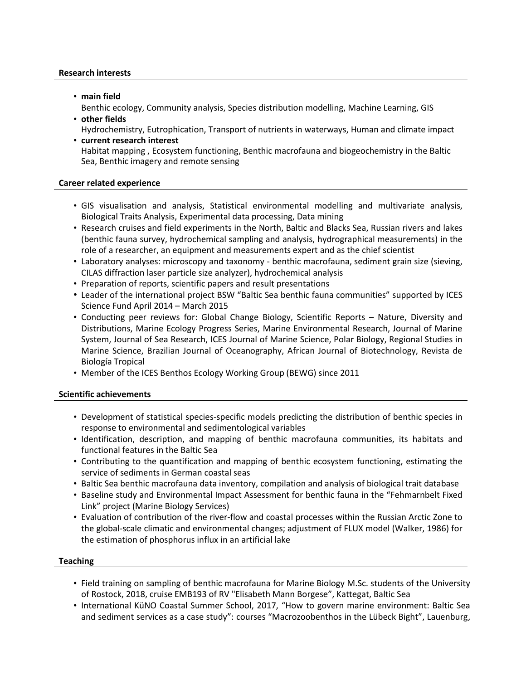### **Research interests**

• **main field**

Benthic ecology, Community analysis, Species distribution modelling, Machine Learning, GIS

• **other fields**

Hydrochemistry, Eutrophication, Transport of nutrients in waterways, Human and climate impact

• **current research interest** Habitat mapping , Ecosystem functioning, Benthic macrofauna and biogeochemistry in the Baltic Sea, Benthic imagery and remote sensing

# **Career related experience**

- GIS visualisation and analysis, Statistical environmental modelling and multivariate analysis, Biological Traits Analysis, Experimental data processing, Data mining
- Research cruises and field experiments in the North, Baltic and Blacks Sea, Russian rivers and lakes (benthic fauna survey, hydrochemical sampling and analysis, hydrographical measurements) in the role of a researcher, an equipment and measurements expert and as the chief scientist
- Laboratory analyses: microscopy and taxonomy benthic macrofauna, sediment grain size (sieving, CILAS diffraction laser particle size analyzer), hydrochemical analysis
- Preparation of reports, scientific papers and result presentations
- Leader of the international project BSW "Baltic Sea benthic fauna communities" supported by ICES Science Fund April 2014 – March 2015
- Conducting peer reviews for: Global Change Biology, Scientific Reports Nature, Diversity and Distributions, Marine Ecology Progress Series, Marine Environmental Research, Journal of Marine System, Journal of Sea Research, ICES Journal of Marine Science, Polar Biology, Regional Studies in Marine Science, Brazilian Journal of Oceanography, African Journal of Biotechnology, Revista de Biología Tropical
- Member of the ICES Benthos Ecology Working Group (BEWG) since 2011

# **Scientific achievements**

- Development of statistical species-specific models predicting the distribution of benthic species in response to environmental and sedimentological variables
- Identification, description, and mapping of benthic macrofauna communities, its habitats and functional features in the Baltic Sea
- Contributing to the quantification and mapping of benthic ecosystem functioning, estimating the service of sediments in German coastal seas
- Baltic Sea benthic macrofauna data inventory, compilation and analysis of biological trait database
- Baseline study and Environmental Impact Assessment for benthic fauna in the "Fehmarnbelt Fixed Link" project (Marine Biology Services)
- Evaluation of contribution of the river-flow and coastal processes within the Russian Arctic Zone to the global-scale climatic and environmental changes; adjustment of FLUX model (Walker, 1986) for the estimation of phosphorus influx in an artificial lake

# **Teaching**

- Field training on sampling of benthic macrofauna for Marine Biology M.Sc. students of the University of Rostock, 2018, cruise EMB193 of RV "Elisabeth Mann Borgese", Kattegat, Baltic Sea
- International KüNO Coastal Summer School, 2017, "How to govern marine environment: Baltic Sea and sediment services as a case study": courses "Macrozoobenthos in the Lübeck Bight", Lauenburg,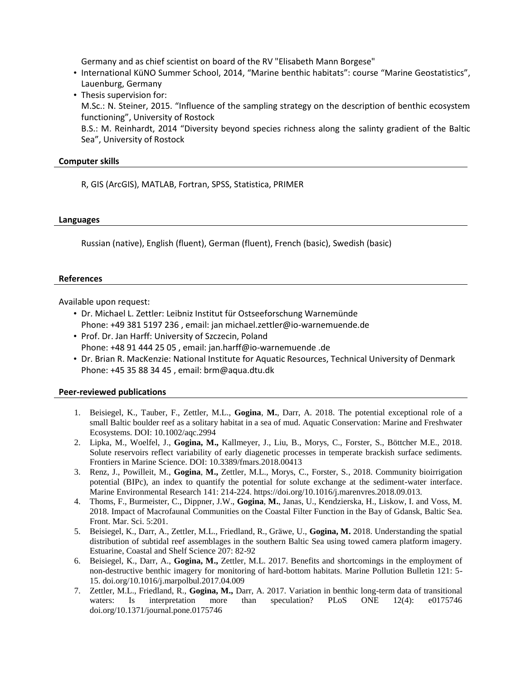Germany and as chief scientist on board of the RV "Elisabeth Mann Borgese"

- International KüNO Summer School, 2014, "Marine benthic habitats": course "Marine Geostatistics", Lauenburg, Germany
- Thesis supervision for: M.Sc.: N. Steiner, 2015. "Influence of the sampling strategy on the description of benthic ecosystem functioning", University of Rostock B.S.: M. Reinhardt, 2014 "Diversity beyond species richness along the salinty gradient of the Baltic Sea", University of Rostock

### **Computer skills**

R, GIS (ArcGIS), MATLAB, Fortran, SPSS, Statistica, PRIMER

#### **Languages**

Russian (native), English (fluent), German (fluent), French (basic), Swedish (basic)

#### **References**

Available upon request:

- Dr. Michael L. Zettler: Leibniz Institut für Ostseeforschung Warnemünde Phone: +49 381 5197 236 , email: jan michael.zettler@io-warnemuende.de
- Prof. Dr. Jan Harff: University of Szczecin, Poland Phone: +48 91 444 25 05 , email: jan.harff@io-warnemuende .de
- Dr. Brian R. MacKenzie: National Institute for Aquatic Resources, Technical University of Denmark Phone: +45 35 88 34 45 , email: brm@aqua.dtu.dk

### **Peer-reviewed publications**

- 1. Beisiegel, K., Tauber, F., Zettler, M.L., **Gogina**, **M.**, Darr, A. 2018. The potential exceptional role of a small Baltic boulder reef as a solitary habitat in a sea of mud. Aquatic Conservation: Marine and Freshwater Ecosystems. DOI: 10.1002/aqc.2994
- 2. Lipka, M., Woelfel, J., **Gogina, M.,** Kallmeyer, J., Liu, B., Morys, C., Forster, S., Böttcher M.E., 2018. Solute reservoirs reflect variability of early diagenetic processes in temperate brackish surface sediments. Frontiers in Marine Science. DOI: 10.3389/fmars.2018.00413
- 3. Renz, J., Powilleit, M., **Gogina**, **M.,** Zettler, M.L., Morys, C., Forster, S., 2018. Community bioirrigation potential (BIPc), an index to quantify the potential for solute exchange at the sediment-water interface. Marine Environmental Research 141: 214-224. https://doi.org/10.1016/j.marenvres.2018.09.013.
- 4. Thoms, F., Burmeister, C., Dippner, J.W., **Gogina**, **M.**, Janas, U., Kendzierska, H., Liskow, I. and Voss, M. 2018. Impact of Macrofaunal Communities on the Coastal Filter Function in the Bay of Gdansk, Baltic Sea. Front. Mar. Sci. 5:201.
- 5. Beisiegel, K., Darr, A., Zettler, M.L., Friedland, R., Gräwe, U., **Gogina, M.** 2018. Understanding the spatial distribution of subtidal reef assemblages in the southern Baltic Sea using towed camera platform imagery. Estuarine, Coastal and Shelf Science 207: 82-92
- 6. Beisiegel, K., Darr, A., **Gogina, M.,** Zettler, M.L. 2017. Benefits and shortcomings in the employment of non-destructive benthic imagery for monitoring of hard-bottom habitats. Marine Pollution Bulletin 121: 5- 15. doi.org/10.1016/j.marpolbul.2017.04.009
- 7. Zettler, M.L., Friedland, R., **Gogina, M.,** Darr, A. 2017. Variation in benthic long-term data of transitional waters: Is interpretation more than speculation? PLoS ONE 12(4): e0175746 doi.org/10.1371/journal.pone.0175746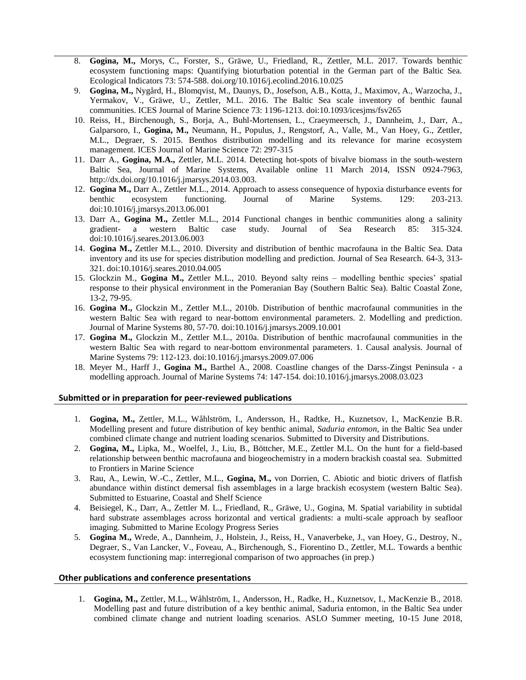- 8. **Gogina, M.,** Morys, C., Forster, S., Gräwe, U., Friedland, R., Zettler, M.L. 2017. Towards benthic ecosystem functioning maps: Quantifying bioturbation potential in the German part of the Baltic Sea. Ecological Indicators 73: 574-588. [doi.org/10.1016/j.ecolind.2016.10.025](http://dx.doi.org/10.1016/j.ecolind.2016.10.025)
- 9. **Gogina, M.,** Nygård, H., Blomqvist, M., Daunys, D., Josefson, A.B., Kotta, J., Maximov, A., Warzocha, J., Yermakov, V., Gräwe, U., Zettler, M.L. 2016. The Baltic Sea scale inventory of benthic faunal communities. ICES Journal of Marine Science 73: 1196-1213. doi:10.1093/icesjms/fsv265
- 10. Reiss, H., Birchenough, S., Borja, A., Buhl-Mortensen, L., Craeymeersch, J., Dannheim, J., Darr, A., Galparsoro, I., **Gogina, M.,** Neumann, H., Populus, J., Rengstorf, A., Valle, M., Van Hoey, G., Zettler, M.L., Degraer, S. 2015. Benthos distribution modelling and its relevance for marine ecosystem management. ICES Journal of Marine Science 72: 297-315
- 11. Darr A., **Gogina, M.A.,** Zettler, M.L. 2014. Detecting hot-spots of bivalve biomass in the south-western Baltic Sea, Journal of Marine Systems, Available online 11 March 2014, ISSN 0924-7963, [http://dx.doi.org/10.1016/j.jmarsys.2014.03.003.](http://dx.doi.org/10.1016/j.jmarsys.2014.03.003)
- 12. **Gogina M.,** Darr A., Zettler M.L., 2014. Approach to assess consequence of hypoxia disturbance events for benthic ecosystem functioning. Journal of Marine Systems. 129: 203-213. doi:10.1016/j.jmarsys.2013.06.001
- 13. Darr A., **Gogina M.,** Zettler M.L., 2014 Functional changes in benthic communities along a salinity gradient- a western Baltic case study. Journal of Sea Research 85: 315-324. doi:10.1016/j.seares.2013.06.003
- 14. **Gogina M.,** Zettler M.L., 2010. Diversity and distribution of benthic macrofauna in the Baltic Sea. Data inventory and its use for species distribution modelling and prediction. Journal of Sea Research. [64-3,](http://dx.doi.org/10.1016/j.seares.2010.04.005) 313- 321. [doi:10.1016/j.seares.2010.04.005](http://dx.doi.org/10.1016/j.seares.2010.04.005)
- 15. Glockzin M., **Gogina M.,** Zettler M.L., 2010. Beyond salty reins modelling benthic species' spatial response to their physical environment in the Pomeranian Bay (Southern Baltic Sea). Baltic Coastal Zone, 13-2, 79-95.
- 16. **Gogina M.,** Glockzin M., Zettler M.L., 2010b. Distribution of benthic macrofaunal communities in the western Baltic Sea with regard to near-bottom environmental parameters. 2. Modelling and prediction. Journal of Marine Systems 80, 57-70[. doi:10.1016/j.jmarsys.2009.10.001](http://dx.doi.org/10.1016/j.jmarsys.2009.10.001)
- 17. **Gogina M.,** Glockzin M., Zettler M.L., 2010a. Distribution of benthic macrofaunal communities in the western Baltic Sea with regard to near-bottom environmental parameters. 1. Causal analysis. Journal of Marine Systems 79: 112-123. [doi:10.1016/j.jmarsys.2009.07.006](http://dx.doi.org/10.1016/j.jmarsys.2009.07.006)
- 18. Meyer M., Harff J., **Gogina M.,** Barthel A., 2008. Coastline changes of the Darss-Zingst Peninsula a modelling approach. Journal of Marine Systems 74: 147-154[. doi:10.1016/j.jmarsys.2008.03.023](http://dx.doi.org/10.1016/j.jmarsys.2008.03.023)

### **Submitted or in preparation for peer-reviewed publications**

- 1. **Gogina, M.,** Zettler, M.L., Wåhlström, I., Andersson, H., Radtke, H., Kuznetsov, I., MacKenzie B.R. Modelling present and future distribution of key benthic animal, *Saduria entomon*, in the Baltic Sea under combined climate change and nutrient loading scenarios. Submitted to Diversity and Distributions.
- 2. **Gogina, M.,** Lipka, M., Woelfel, J., Liu, B., Böttcher, M.E., Zettler M.L. On the hunt for a field-based relationship between benthic macrofauna and biogeochemistry in a modern brackish coastal sea. Submitted to Frontiers in Marine Science
- 3. Rau, A., Lewin, W.-C., Zettler, M.L., **Gogina, M.,** von Dorrien, C. Abiotic and biotic drivers of flatfish abundance within distinct demersal fish assemblages in a large brackish ecosystem (western Baltic Sea). Submitted to Estuarine, Coastal and Shelf Science
- 4. Beisiegel, K., Darr, A., Zettler M. L., Friedland, R., Gräwe, U., Gogina, M. Spatial variability in subtidal hard substrate assemblages across horizontal and vertical gradients: a multi-scale approach by seafloor imaging. Submitted to Marine Ecology Progress Series
- 5. **Gogina M.,** Wrede, A., Dannheim, J., Holstein, J., Reiss, H., Vanaverbeke, J., van Hoey, G., Destroy, N., Degraer, S., Van Lancker, V., Foveau, A., Birchenough, S., Fiorentino D., Zettler, M.L. Towards a benthic ecosystem functioning map: interregional comparison of two approaches (in prep.)

#### **Other publications and conference presentations**

1. **Gogina, M.,** Zettler, M.L., Wåhlström, I., Andersson, H., Radke, H., Kuznetsov, I., MacKenzie B., 2018. Modelling past and future distribution of a key benthic animal, Saduria entomon, in the Baltic Sea under combined climate change and nutrient loading scenarios. ASLO Summer meeting, 10-15 June 2018,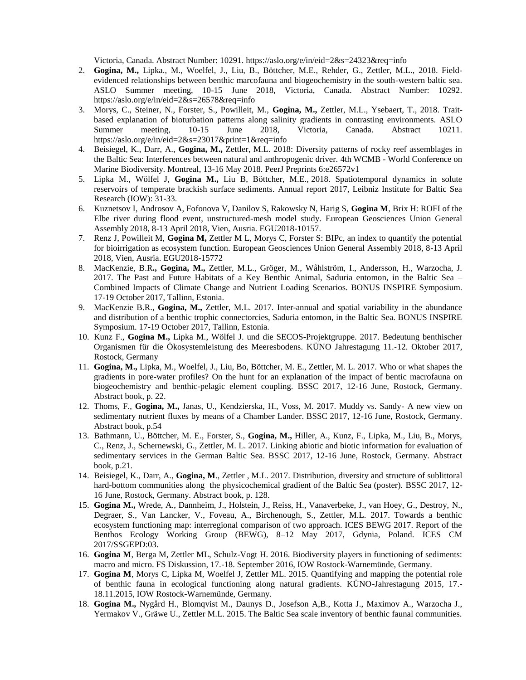Victoria, Canada. Abstract Number: 10291. https://aslo.org/e/in/eid=2&s=24323&req=info

- 2. **Gogina, M.,** Lipka., M., Woelfel, J., Liu, B., Böttcher, M.E., Rehder, G., Zettler, M.L., 2018. Fieldevidenced relationships between benthic marcofauna and biogeochemistry in the south-western baltic sea. ASLO Summer meeting, 10-15 June 2018, Victoria, Canada. Abstract Number: 10292. https://aslo.org/e/in/eid=2&s=26578&req=info
- 3. Morys, C., Steiner, N., Forster, S., Powilleit, M., **Gogina, M.,** Zettler, M.L., Ysebaert, T., 2018. Traitbased explanation of bioturbation patterns along salinity gradients in contrasting environments. ASLO Summer meeting, 10-15 June 2018, Victoria, Canada. Abstract 10211. <https://aslo.org/e/in/eid=2&s=23017&print=1&req=info>
- 4. Beisiegel, K., Darr, A., **Gogina, M.,** Zettler, M.L. 2018: Diversity patterns of rocky reef assemblages in the Baltic Sea: Interferences between natural and anthropogenic driver. 4th WCMB - World Conference on Marine Biodiversity. Montreal, 13-16 May 2018. PeerJ Preprints 6:e26572v1
- 5. Lipka M., Wölfel J, **Gogina M.,** Liu B, Böttcher, M.E., 2018. Spatiotemporal dynamics in solute reservoirs of temperate brackish surface sediments. Annual report 2017, Leibniz Institute for Baltic Sea Research (IOW): 31-33.
- 6. Kuznetsov I, Androsov A, Fofonova V, Danilov S, Rakowsky N, Harig S, **Gogina M**, Brix H: ROFI of the Elbe river during flood event, unstructured-mesh model study. European Geosciences Union General Assembly 2018, 8-13 April 2018, Vien, Ausria. EGU2018-10157.
- 7. Renz J, Powilleit M, **Gogina M,** Zettler M L, Morys C, Forster S: BIPc, an index to quantify the potential for bioirrigation as ecosystem function. European Geosciences Union General Assembly 2018, 8-13 April 2018, Vien, Ausria. EGU2018-15772
- 8. MacKenzie, B.R**., Gogina, M.,** Zettler, M.L., Gröger, M., Wåhlström, I., Andersson, H., Warzocha, J. 2017. The Past and Future Habitats of a Key Benthic Animal, Saduria entomon, in the Baltic Sea – Combined Impacts of Climate Change and Nutrient Loading Scenarios. BONUS INSPIRE Symposium. 17-19 October 2017, Tallinn, Estonia.
- 9. MacKenzie B.R., **Gogina, M.,** Zettler, M.L. 2017. Inter-annual and spatial variability in the abundance and distribution of a benthic trophic connectorcies, Saduria entomon, in the Baltic Sea. BONUS INSPIRE Symposium. 17-19 October 2017, Tallinn, Estonia.
- 10. Kunz F., **Gogina M.,** Lipka M., Wölfel J. und die SECOS-Projektgruppe. 2017. Bedeutung benthischer Organismen für die Ökosystemleistung des Meeresbodens. KÜNO Jahrestagung 11.‐12. Oktober 2017, Rostock, Germany
- 11. **Gogina, M.,** Lipka, M., Woelfel, J., Liu, Bo, Böttcher, M. E., Zettler, M. L. 2017. Who or what shapes the gradients in pore-water profiles? On the hunt for an explanation of the impact of bentic macrofauna on biogeochemistry and benthic-pelagic element coupling. BSSC 2017, 12-16 June, Rostock, Germany. Abstract book, p. 22.
- 12. Thoms, F., **Gogina, M.,** Janas, U., Kendzierska, H., Voss, M. 2017. Muddy vs. Sandy- A new view on sedimentary nutrient fluxes by means of a Chamber Lander. BSSC 2017, 12-16 June, Rostock, Germany. Abstract book, p.54
- 13. Bathmann, U., Böttcher, M. E., Forster, S., **Gogina, M.,** Hiller, A., Kunz, F., Lipka, M., Liu, B., Morys, C., Renz, J., Schernewski, G., Zettler, M. L. 2017. Linking abiotic and biotic information for evaluation of sedimentary services in the German Baltic Sea. BSSC 2017, 12-16 June, Rostock, Germany. Abstract book, p.21.
- 14. Beisiegel, K., Darr, A., **Gogina, M**., Zettler , M.L. 2017. Distribution, diversity and structure of sublittoral hard-bottom communities along the physicochemical gradient of the Baltic Sea (poster). BSSC 2017, 12- 16 June, Rostock, Germany. Abstract book, p. 128.
- 15. **Gogina M.,** Wrede, A., Dannheim, J., Holstein, J., Reiss, H., Vanaverbeke, J., van Hoey, G., Destroy, N., Degraer, S., Van Lancker, V., Foveau, A., Birchenough, S., Zettler, M.L. 2017. Towards a benthic ecosystem functioning map: interregional comparison of two approach. ICES BEWG 2017. Report of the Benthos Ecology Working Group (BEWG), 8–12 May 2017, Gdynia, Poland. ICES CM 2017/SSGEPD:03.
- 16. **Gogina M**, Berga M, Zettler ML, Schulz-Vogt H. 2016. Biodiversity players in functioning of sediments: macro and micro. FS Diskussion, 17.-18. September 2016, IOW Rostock-Warnemünde, Germany.
- 17. **Gogina M**, Morys C, Lipka M, Woelfel J, Zettler ML. 2015. Quantifying and mapping the potential role of benthic fauna in ecological functioning along natural gradients. KÜNO-Jahrestagung 2015, 17.- 18.11.2015, IOW Rostock-Warnemünde, Germany.
- 18. **Gogina M.,** Nygård H., Blomqvist M., Daunys D., Josefson A,B., Kotta J., Maximov A., Warzocha J., Yermakov V., Gräwe U., Zettler M.L. 2015. The Baltic Sea scale inventory of benthic faunal communities.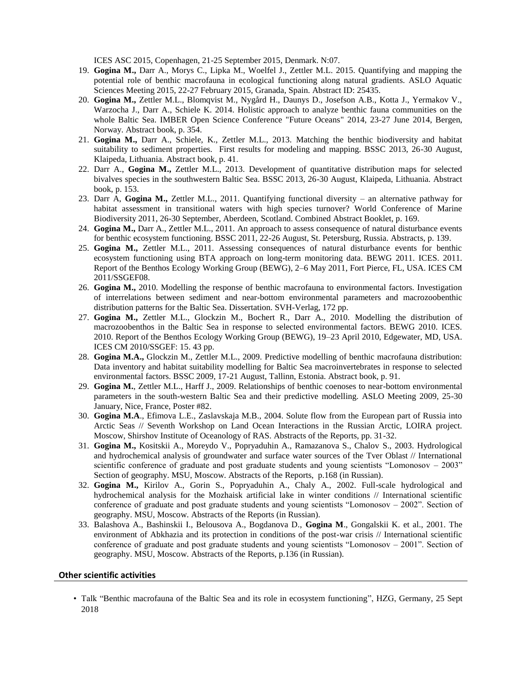ICES ASC 2015, Copenhagen, 21-25 September 2015, Denmark. N:07.

- 19. **Gogina M.,** Darr A., Morys C., Lipka M., Woelfel J., Zettler M.L. 2015. Quantifying and mapping the potential role of benthic macrofauna in ecological functioning along natural gradients. ASLO Aquatic Sciences Meeting 2015, 22-27 February 2015, Granada, Spain. Abstract ID: 25435.
- 20. **Gogina M.,** Zettler M.L., Blomqvist M., Nygård H., Daunys D., Josefson A.B., Kotta J., Yermakov V., Warzocha J., Darr A., Schiele K. 2014. Holistic approach to analyze benthic fauna communities on the whole Baltic Sea. IMBER Open Science Conference "Future Oceans" 2014, 23-27 June 2014, Bergen, Norway. Abstract book, p. 354.
- 21. **Gogina M.,** Darr A., Schiele, K., Zettler M.L., 2013. Matching the benthic biodiversity and habitat suitability to sediment properties. First results for modeling and mapping. BSSC 2013, 26-30 August, Klaipeda, Lithuania. Abstract book, p. 41.
- 22. Darr A., **Gogina M.,** Zettler M.L., 2013. Development of quantitative distribution maps for selected bivalves species in the southwestern Baltic Sea. BSSC 2013, 26-30 August, Klaipeda, Lithuania. Abstract book, p. 153.
- 23. Darr A, **Gogina M.,** Zettler M.L., 2011. Quantifying functional diversity an alternative pathway for habitat assessment in transitional waters with high species turnover? World Conference of Marine Biodiversity 2011, 26-30 September, Aberdeen, Scotland. Combined Abstract Booklet, p. 169.
- 24. **Gogina M.,** Darr A., Zettler M.L., 2011. An approach to assess consequence of natural disturbance events for benthic ecosystem functioning. BSSC 2011, 22-26 August, St. Petersburg, Russia. Abstracts, p. 139.
- 25. **Gogina M.,** Zettler M.L., 2011. Assessing consequences of natural disturbance events for benthic ecosystem functioning using BTA approach on long-term monitoring data. BEWG 2011. ICES. 2011. Report of the Benthos Ecology Working Group (BEWG), 2–6 May 2011, Fort Pierce, FL, USA. ICES CM 2011/SSGEF08.
- 26. **Gogina M.,** 2010. Modelling the response of benthic macrofauna to environmental factors. Investigation of interrelations between sediment and near-bottom environmental parameters and macrozoobenthic distribution patterns for the Baltic Sea. Dissertation. SVH-Verlag, 172 pp.
- 27. **Gogina M.,** Zettler M.L., Glockzin M., Bochert R., Darr A., 2010. Modelling the distribution of macrozoobenthos in the Baltic Sea in response to selected environmental factors. BEWG 2010. ICES. 2010. Report of the Benthos Ecology Working Group (BEWG), 19–23 April 2010, Edgewater, MD, USA. ICES CM 2010/SSGEF: 15. 43 pp.
- 28. **Gogina M.A.,** Glockzin M., Zettler M.L., 2009. Predictive modelling of benthic macrofauna distribution: Data inventory and habitat suitability modelling for Baltic Sea macroinvertebrates in response to selected environmental factors. BSSC 2009, 17-21 August, Tallinn, Estonia. Abstract book, p. 91.
- 29. **Gogina M.**, Zettler M.L., Harff J., 2009. Relationships of benthic coenoses to near-bottom environmental parameters in the south-western Baltic Sea and their predictive modelling. ASLO Meeting 2009, 25-30 January, Nice, France, Poster #82.
- 30. **Gogina M.A**., Efimova L.E., Zaslavskaja M.B., 2004. Solute flow from the European part of Russia into Arctic Seas // Seventh Workshop on Land Ocean Interactions in the Russian Arctic, LOIRA project. Moscow, Shirshov Institute of Oceanology of RAS. Abstracts of the Reports, pp. 31-32.
- 31. **Gogina M.,** Kositskii A., Moreydo V., Popryaduhin A., Ramazanova S., Chalov S., 2003. Hydrological and hydrochemical analysis of groundwater and surface water sources of the Tver Oblast // International scientific conference of graduate and post graduate students and young scientists "Lomonosov – 2003" Section of geography. MSU, Moscow. Abstracts of the Reports, p.168 (in Russian).
- 32. **Gogina M.,** Kirilov A., Gorin S., Popryaduhin A., Chaly A., 2002. Full-scale hydrological and hydrochemical analysis for the Mozhaisk artificial lake in winter conditions // International scientific conference of graduate and post graduate students and young scientists "Lomonosov – 2002". Section of geography. MSU, Moscow. Abstracts of the Reports (in Russian).
- 33. Balashova A., Bashinskii I., Belousova A., Bogdanova D., **Gogina M**., Gongalskii K. et al., 2001. The environment of Abkhazia and its protection in conditions of the post-war crisis // International scientific conference of graduate and post graduate students and young scientists "Lomonosov – 2001". Section of geography. MSU, Moscow. Abstracts of the Reports, p.136 (in Russian).

#### **Other scientific activities**

• Talk "Benthic macrofauna of the Baltic Sea and its role in ecosystem functioning", HZG, Germany, 25 Sept 2018